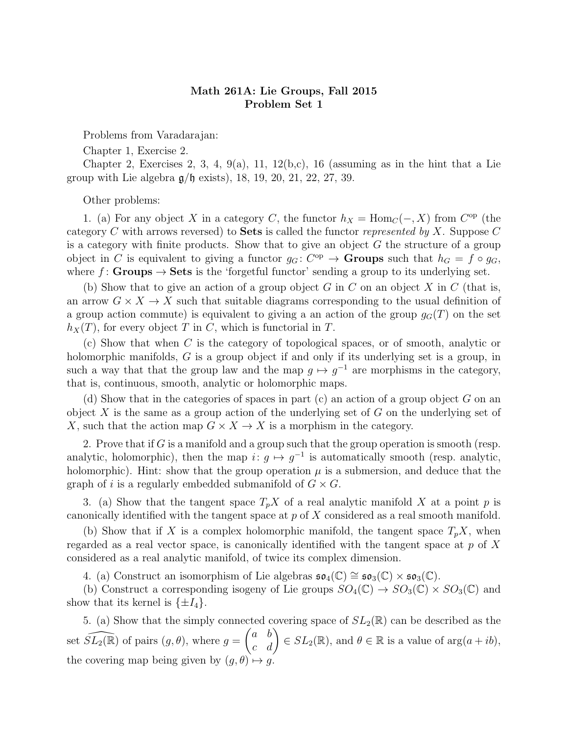## Math 261A: Lie Groups, Fall 2015 Problem Set 1

Problems from Varadarajan:

Chapter 1, Exercise 2.

Chapter 2, Exercises 2, 3, 4, 9(a), 11, 12(b,c), 16 (assuming as in the hint that a Lie group with Lie algebra  $g/b$  exists), 18, 19, 20, 21, 22, 27, 39.

Other problems:

1. (a) For any object X in a category C, the functor  $h_X = \text{Hom}_C(-, X)$  from  $C^{\text{op}}$  (the category C with arrows reversed) to **Sets** is called the functor represented by X. Suppose C is a category with finite products. Show that to give an object  $G$  the structure of a group object in C is equivalent to giving a functor  $g_G: C^{op} \to \mathbf{Groups}$  such that  $h_G = f \circ g_G$ , where  $f:$  Groups  $\rightarrow$  Sets is the 'forgetful functor' sending a group to its underlying set.

(b) Show that to give an action of a group object G in C on an object X in C (that is, an arrow  $G \times X \to X$  such that suitable diagrams corresponding to the usual definition of a group action commute) is equivalent to giving a an action of the group  $g<sub>G</sub>(T)$  on the set  $h_X(T)$ , for every object T in C, which is functorial in T.

(c) Show that when C is the category of topological spaces, or of smooth, analytic or holomorphic manifolds, G is a group object if and only if its underlying set is a group, in such a way that that the group law and the map  $g \mapsto g^{-1}$  are morphisms in the category, that is, continuous, smooth, analytic or holomorphic maps.

(d) Show that in the categories of spaces in part  $(c)$  an action of a group object G on an object  $X$  is the same as a group action of the underlying set of  $G$  on the underlying set of X, such that the action map  $G \times X \to X$  is a morphism in the category.

2. Prove that if  $G$  is a manifold and a group such that the group operation is smooth (resp. analytic, holomorphic), then the map  $i: g \mapsto g^{-1}$  is automatically smooth (resp. analytic, holomorphic). Hint: show that the group operation  $\mu$  is a submersion, and deduce that the graph of i is a regularly embedded submanifold of  $G \times G$ .

3. (a) Show that the tangent space  $T_pX$  of a real analytic manifold X at a point p is canonically identified with the tangent space at  $p$  of  $X$  considered as a real smooth manifold.

(b) Show that if X is a complex holomorphic manifold, the tangent space  $T_pX$ , when regarded as a real vector space, is canonically identified with the tangent space at  $p$  of  $X$ considered as a real analytic manifold, of twice its complex dimension.

4. (a) Construct an isomorphism of Lie algebras  $\mathfrak{so}_4(\mathbb{C}) \cong \mathfrak{so}_3(\mathbb{C}) \times \mathfrak{so}_3(\mathbb{C})$ .

(b) Construct a corresponding isogeny of Lie groups  $SO_4(\mathbb{C}) \to SO_3(\mathbb{C}) \times SO_3(\mathbb{C})$  and show that its kernel is  $\{\pm I_4\}.$ 

5. (a) Show that the simply connected covering space of  $SL_2(\mathbb{R})$  can be described as the set  $\widehat{SL_2(\mathbb{R})}$  of pairs  $(g, \theta)$ , where  $g = \begin{pmatrix} a & b \\ c & d \end{pmatrix} \in SL_2(\mathbb{R})$ , and  $\theta \in \mathbb{R}$  is a value of  $\arg(a + ib)$ , the covering map being given by  $(q, \theta) \mapsto q$ .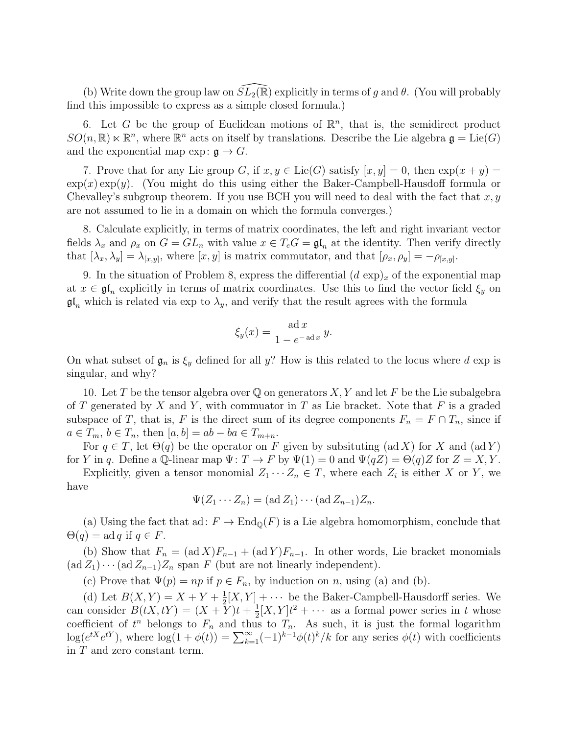(b) Write down the group law on  $\widetilde{SL}_2(\mathbb{R})$  explicitly in terms of g and  $\theta$ . (You will probably find this impossible to express as a simple closed formula.)

6. Let G be the group of Euclidean motions of  $\mathbb{R}^n$ , that is, the semidirect product  $SO(n,\mathbb{R})\ltimes\mathbb{R}^n$ , where  $\mathbb{R}^n$  acts on itself by translations. Describe the Lie algebra  $\mathfrak{g} = \text{Lie}(G)$ and the exponential map  $\exp: \mathfrak{g} \to G$ .

7. Prove that for any Lie group G, if  $x, y \in \text{Lie}(G)$  satisfy  $[x, y] = 0$ , then  $\exp(x + y) = 0$  $\exp(x) \exp(y)$ . (You might do this using either the Baker-Campbell-Hausdoff formula or Chevalley's subgroup theorem. If you use BCH you will need to deal with the fact that  $x, y$ are not assumed to lie in a domain on which the formula converges.)

8. Calculate explicitly, in terms of matrix coordinates, the left and right invariant vector fields  $\lambda_x$  and  $\rho_x$  on  $G = GL_n$  with value  $x \in T_eG = \mathfrak{gl}_n$  at the identity. Then verify directly that  $[\lambda_x, \lambda_y] = \lambda_{[x,y]}$ , where  $[x, y]$  is matrix commutator, and that  $[\rho_x, \rho_y] = -\rho_{[x,y]}$ .

9. In the situation of Problem 8, express the differential  $(d \exp)_x$  of the exponential map at  $x \in \mathfrak{gl}_n$  explicitly in terms of matrix coordinates. Use this to find the vector field  $\xi_y$  on  $\mathfrak{gl}_n$  which is related via exp to  $\lambda_y$ , and verify that the result agrees with the formula

$$
\xi_y(x) = \frac{\text{ad }x}{1 - e^{-\text{ad }x}} y.
$$

On what subset of  $\mathfrak{g}_n$  is  $\xi_y$  defined for all y? How is this related to the locus where d exp is singular, and why?

10. Let T be the tensor algebra over  $\mathbb Q$  on generators X, Y and let F be the Lie subalgebra of T generated by X and Y, with commuator in T as Lie bracket. Note that F is a graded subspace of T, that is, F is the direct sum of its degree components  $F_n = F \cap T_n$ , since if  $a \in T_m$ ,  $b \in T_n$ , then  $[a, b] = ab - ba \in T_{m+n}$ .

For  $q \in T$ , let  $\Theta(q)$  be the operator on F given by subsituting (ad X) for X and (adY) for Y in q. Define a Q-linear map  $\Psi: T \to F$  by  $\Psi(1) = 0$  and  $\Psi(qZ) = \Theta(q)Z$  for  $Z = X, Y$ .

Explicitly, given a tensor monomial  $Z_1 \cdots Z_n \in T$ , where each  $Z_i$  is either X or Y, we have

 $\Psi(Z_1 \cdots Z_n) = (\text{ad }Z_1) \cdots (\text{ad }Z_{n-1}) Z_n.$ 

(a) Using the fact that ad:  $F \to \text{End}_{\mathbb{Q}}(F)$  is a Lie algebra homomorphism, conclude that  $\Theta(q) = \text{ad } q \text{ if } q \in F.$ 

(b) Show that  $F_n = (ad X)F_{n-1} + (ad Y)F_{n-1}$ . In other words, Lie bracket monomials  $(\text{ad }Z_1)\cdots(\text{ad }Z_{n-1})Z_n$  span F (but are not linearly independent).

(c) Prove that  $\Psi(p) = np$  if  $p \in F_n$ , by induction on n, using (a) and (b).

(d) Let  $B(X,Y) = X + Y + \frac{1}{2}$  $\frac{1}{2}[X, Y] + \cdots$  be the Baker-Campbell-Hausdorff series. We can consider  $B(tX,tY) = (X + Y)t + \frac{1}{2}$  $\frac{1}{2}[X,Y]t^2 + \cdots$  as a formal power series in t whose coefficient of  $t^n$  belongs to  $F_n$  and thus to  $T_n$ . As such, it is just the formal logarithm  $\log(e^{tX}e^{tY})$ , where  $\log(1+\phi(t)) = \sum_{k=1}^{\infty}(-1)^{k-1}\phi(t)^k/k$  for any series  $\phi(t)$  with coefficients in T and zero constant term.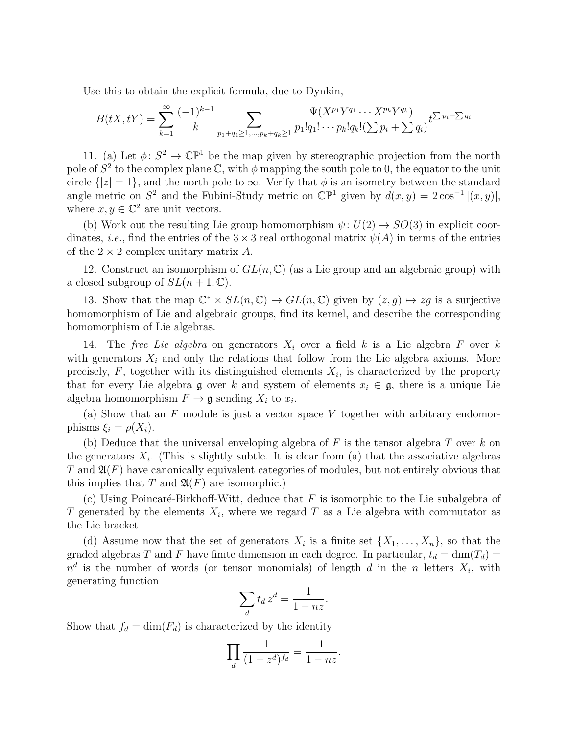Use this to obtain the explicit formula, due to Dynkin,

$$
B(tX, tY) = \sum_{k=1}^{\infty} \frac{(-1)^{k-1}}{k} \sum_{p_1+q_1 \ge 1, \dots, p_k+q_k \ge 1} \frac{\Psi(X^{p_1}Y^{q_1} \cdots X^{p_k}Y^{q_k})}{p_1!q_1! \cdots p_k!q_k! (\sum p_i + \sum q_i)} t^{\sum p_i + \sum q_i}
$$

11. (a) Let  $\phi: S^2 \to \mathbb{CP}^1$  be the map given by stereographic projection from the north pole of  $S^2$  to the complex plane  $\mathbb C$ , with  $\phi$  mapping the south pole to 0, the equator to the unit circle  $\{|z|=1\}$ , and the north pole to  $\infty$ . Verify that  $\phi$  is an isometry between the standard angle metric on  $S^2$  and the Fubini-Study metric on  $\mathbb{CP}^1$  given by  $d(\overline{x}, \overline{y}) = 2 \cos^{-1} |(x, y)|$ , where  $x, y \in \mathbb{C}^2$  are unit vectors.

(b) Work out the resulting Lie group homomorphism  $\psi: U(2) \rightarrow SO(3)$  in explicit coordinates, *i.e.*, find the entries of the  $3 \times 3$  real orthogonal matrix  $\psi(A)$  in terms of the entries of the  $2 \times 2$  complex unitary matrix A.

12. Construct an isomorphism of  $GL(n,\mathbb{C})$  (as a Lie group and an algebraic group) with a closed subgroup of  $SL(n+1,\mathbb{C})$ .

13. Show that the map  $\mathbb{C}^* \times SL(n, \mathbb{C}) \to GL(n, \mathbb{C})$  given by  $(z, g) \mapsto zg$  is a surjective homomorphism of Lie and algebraic groups, find its kernel, and describe the corresponding homomorphism of Lie algebras.

14. The free Lie algebra on generators  $X_i$  over a field k is a Lie algebra F over k with generators  $X_i$  and only the relations that follow from the Lie algebra axioms. More precisely,  $F$ , together with its distinguished elements  $X_i$ , is characterized by the property that for every Lie algebra g over k and system of elements  $x_i \in \mathfrak{g}$ , there is a unique Lie algebra homomorphism  $F \to \mathfrak{g}$  sending  $X_i$  to  $x_i$ .

(a) Show that an  $F$  module is just a vector space  $V$  together with arbitrary endomorphisms  $\xi_i = \rho(X_i)$ .

(b) Deduce that the universal enveloping algebra of  $F$  is the tensor algebra  $T$  over  $k$  on the generators  $X_i$ . (This is slightly subtle. It is clear from (a) that the associative algebras  $T$  and  $\mathfrak{A}(F)$  have canonically equivalent categories of modules, but not entirely obvious that this implies that T and  $\mathfrak{A}(F)$  are isomorphic.)

(c) Using Poincaré-Birkhoff-Witt, deduce that  $F$  is isomorphic to the Lie subalgebra of T generated by the elements  $X_i$ , where we regard T as a Lie algebra with commutator as the Lie bracket.

(d) Assume now that the set of generators  $X_i$  is a finite set  $\{X_1, \ldots, X_n\}$ , so that the graded algebras T and F have finite dimension in each degree. In particular,  $t_d = \dim(T_d)$  $n^d$  is the number of words (or tensor monomials) of length d in the n letters  $X_i$ , with generating function

$$
\sum_{d} t_d z^d = \frac{1}{1 - nz}.
$$

Show that  $f_d = \dim(F_d)$  is characterized by the identity

$$
\prod_{d} \frac{1}{(1-z^d)^{f_d}} = \frac{1}{1-nz}.
$$